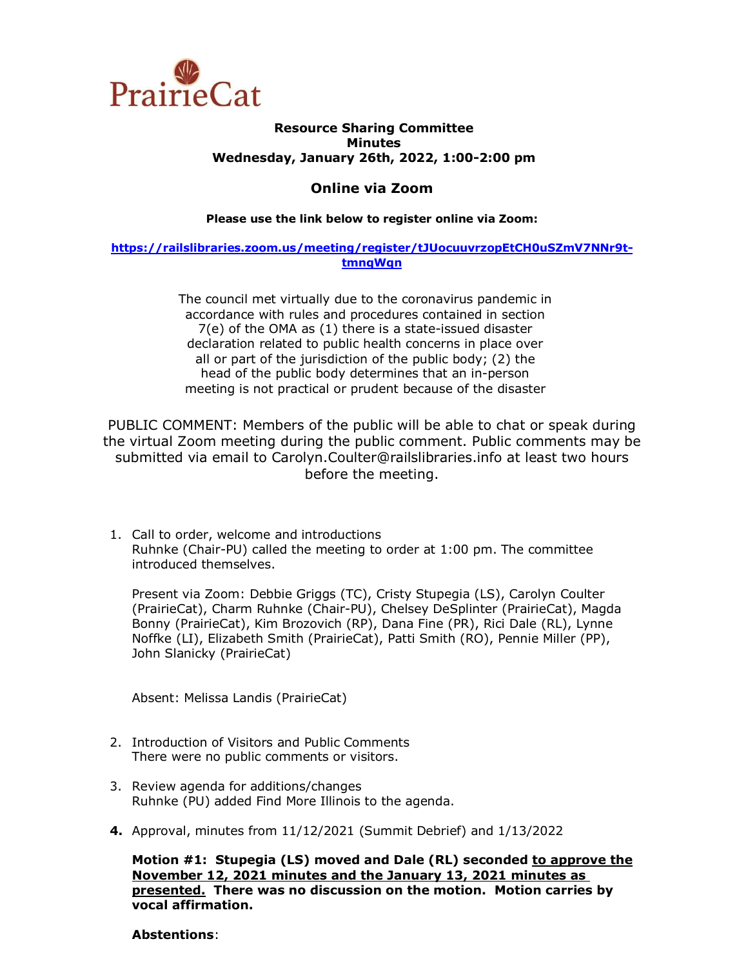

### **Resource Sharing Committee Minutes Wednesday, January 26th, 2022, 1:00-2:00 pm**

# **Online via Zoom**

#### **Please use the link below to register online via Zoom:**

# **[https://railslibraries.zoom.us/meeting/register/tJUocuuvrzopEtCH0uSZmV7NNr9t](https://railslibraries.zoom.us/meeting/register/tJUocuuvrzopEtCH0uSZmV7NNr9t-tmnqWqn)[tmnqWqn](https://railslibraries.zoom.us/meeting/register/tJUocuuvrzopEtCH0uSZmV7NNr9t-tmnqWqn)**

The council met virtually due to the coronavirus pandemic in accordance with rules and procedures contained in section 7(e) of the OMA as (1) there is a state-issued disaster declaration related to public health concerns in place over all or part of the jurisdiction of the public body; (2) the head of the public body determines that an in-person meeting is not practical or prudent because of the disaster

PUBLIC COMMENT: Members of the public will be able to chat or speak during the virtual Zoom meeting during the public comment. Public comments may be submitted via email to Carolyn.Coulter@railslibraries.info at least two hours before the meeting.

1. Call to order, welcome and introductions Ruhnke (Chair-PU) called the meeting to order at 1:00 pm. The committee introduced themselves.

Present via Zoom: Debbie Griggs (TC), Cristy Stupegia (LS), Carolyn Coulter (PrairieCat), Charm Ruhnke (Chair-PU), Chelsey DeSplinter (PrairieCat), Magda Bonny (PrairieCat), Kim Brozovich (RP), Dana Fine (PR), Rici Dale (RL), Lynne Noffke (LI), Elizabeth Smith (PrairieCat), Patti Smith (RO), Pennie Miller (PP), John Slanicky (PrairieCat)

Absent: Melissa Landis (PrairieCat)

- 2. Introduction of Visitors and Public Comments There were no public comments or visitors.
- 3. Review agenda for additions/changes Ruhnke (PU) added Find More Illinois to the agenda.
- **4.** Approval, minutes from 11/12/2021 (Summit Debrief) and 1/13/2022

**Motion #1: Stupegia (LS) moved and Dale (RL) seconded to approve the November 12, 2021 minutes and the January 13, 2021 minutes as presented. There was no discussion on the motion. Motion carries by vocal affirmation.** 

## **Abstentions**: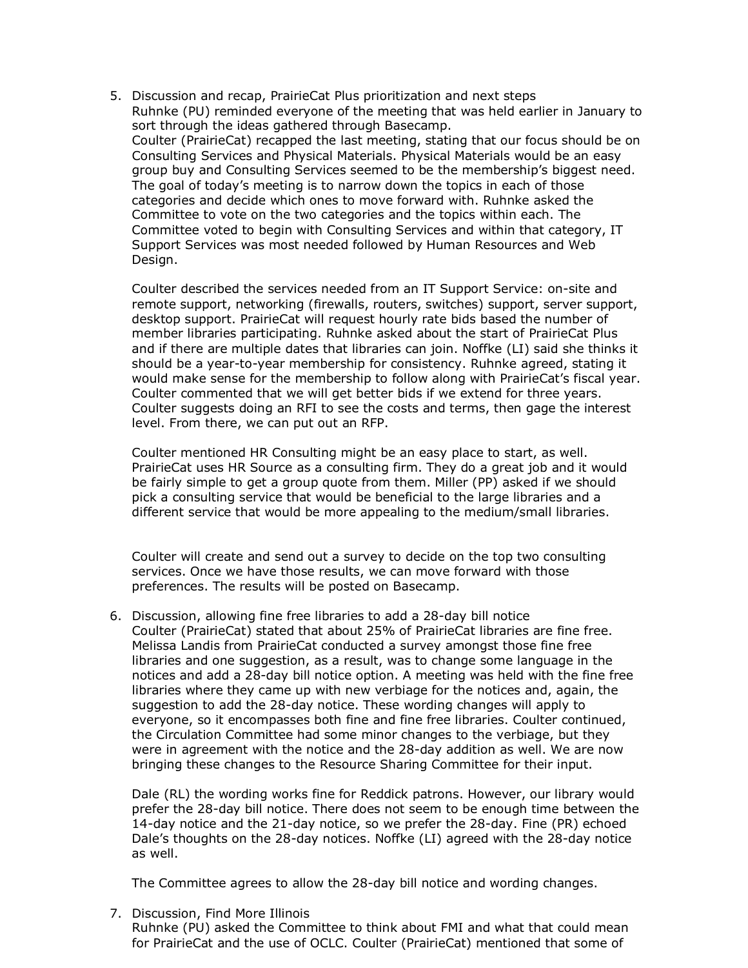5. Discussion and recap, PrairieCat Plus prioritization and next steps Ruhnke (PU) reminded everyone of the meeting that was held earlier in January to sort through the ideas gathered through Basecamp. Coulter (PrairieCat) recapped the last meeting, stating that our focus should be on Consulting Services and Physical Materials. Physical Materials would be an easy group buy and Consulting Services seemed to be the membership's biggest need. The goal of today's meeting is to narrow down the topics in each of those categories and decide which ones to move forward with. Ruhnke asked the Committee to vote on the two categories and the topics within each. The Committee voted to begin with Consulting Services and within that category, IT Support Services was most needed followed by Human Resources and Web Design.

Coulter described the services needed from an IT Support Service: on-site and remote support, networking (firewalls, routers, switches) support, server support, desktop support. PrairieCat will request hourly rate bids based the number of member libraries participating. Ruhnke asked about the start of PrairieCat Plus and if there are multiple dates that libraries can join. Noffke (LI) said she thinks it should be a year-to-year membership for consistency. Ruhnke agreed, stating it would make sense for the membership to follow along with PrairieCat's fiscal year. Coulter commented that we will get better bids if we extend for three years. Coulter suggests doing an RFI to see the costs and terms, then gage the interest level. From there, we can put out an RFP.

Coulter mentioned HR Consulting might be an easy place to start, as well. PrairieCat uses HR Source as a consulting firm. They do a great job and it would be fairly simple to get a group quote from them. Miller (PP) asked if we should pick a consulting service that would be beneficial to the large libraries and a different service that would be more appealing to the medium/small libraries.

Coulter will create and send out a survey to decide on the top two consulting services. Once we have those results, we can move forward with those preferences. The results will be posted on Basecamp.

6. Discussion, allowing fine free libraries to add a 28-day bill notice Coulter (PrairieCat) stated that about 25% of PrairieCat libraries are fine free. Melissa Landis from PrairieCat conducted a survey amongst those fine free libraries and one suggestion, as a result, was to change some language in the notices and add a 28-day bill notice option. A meeting was held with the fine free libraries where they came up with new verbiage for the notices and, again, the suggestion to add the 28-day notice. These wording changes will apply to everyone, so it encompasses both fine and fine free libraries. Coulter continued, the Circulation Committee had some minor changes to the verbiage, but they were in agreement with the notice and the 28-day addition as well. We are now bringing these changes to the Resource Sharing Committee for their input.

Dale (RL) the wording works fine for Reddick patrons. However, our library would prefer the 28-day bill notice. There does not seem to be enough time between the 14-day notice and the 21-day notice, so we prefer the 28-day. Fine (PR) echoed Dale's thoughts on the 28-day notices. Noffke (LI) agreed with the 28-day notice as well.

The Committee agrees to allow the 28-day bill notice and wording changes.

7. Discussion, Find More Illinois

Ruhnke (PU) asked the Committee to think about FMI and what that could mean for PrairieCat and the use of OCLC. Coulter (PrairieCat) mentioned that some of